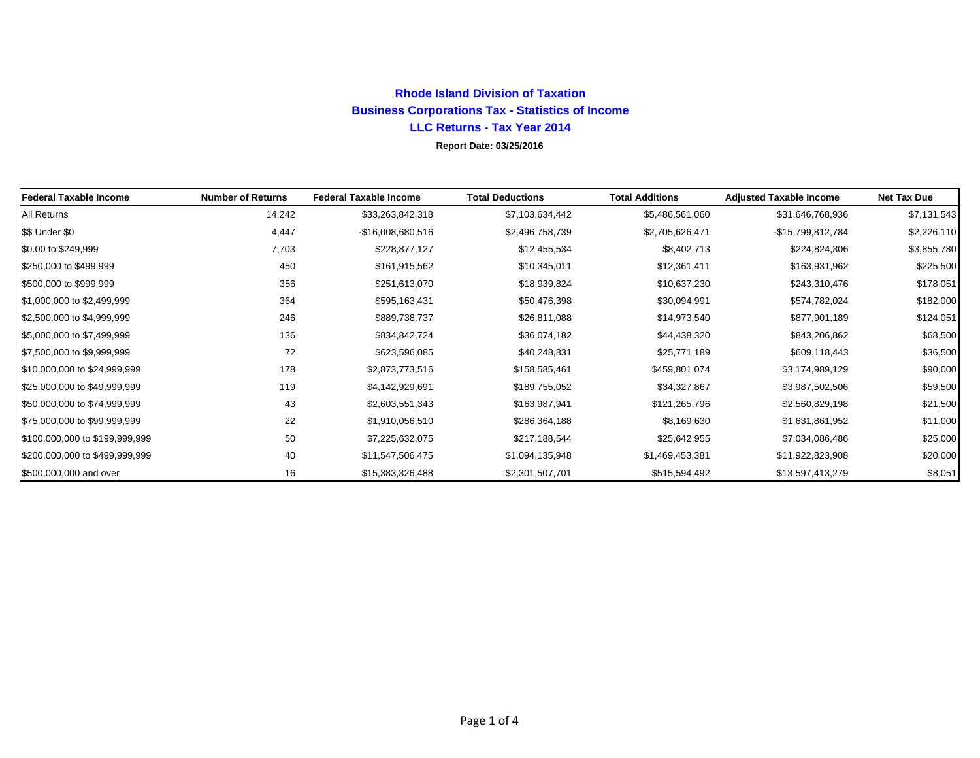## **Rhode Island Division of Taxation Business Corporations Tax - Statistics of Income LLC Returns - Tax Year 2014**

**Report Date: 03/25/2016**

| <b>Federal Taxable Income</b>  | <b>Number of Returns</b> | <b>Federal Taxable Income</b> | <b>Total Deductions</b> | <b>Total Additions</b> | <b>Adjusted Taxable Income</b> | <b>Net Tax Due</b> |
|--------------------------------|--------------------------|-------------------------------|-------------------------|------------------------|--------------------------------|--------------------|
| <b>All Returns</b>             | 14,242                   | \$33,263,842,318              | \$7,103,634,442         | \$5,486,561,060        | \$31,646,768,936               | \$7,131,543        |
| \$\$ Under \$0                 | 4,447                    | -\$16,008,680,516             | \$2,496,758,739         | \$2,705,626,471        | -\$15,799,812,784              | \$2,226,110        |
| \$0.00 to \$249,999            | 7,703                    | \$228,877,127                 | \$12,455,534            | \$8,402,713            | \$224,824,306                  | \$3,855,780        |
| \$250,000 to \$499,999         | 450                      | \$161,915,562                 | \$10,345,011            | \$12,361,411           | \$163,931,962                  | \$225,500          |
| \$500,000 to \$999,999         | 356                      | \$251,613,070                 | \$18,939,824            | \$10,637,230           | \$243,310,476                  | \$178,051          |
| \$1,000,000 to \$2,499,999     | 364                      | \$595,163,431                 | \$50,476,398            | \$30,094,991           | \$574,782,024                  | \$182,000          |
| \$2,500,000 to \$4,999,999     | 246                      | \$889,738,737                 | \$26,811,088            | \$14,973,540           | \$877,901,189                  | \$124,051          |
| \$5,000,000 to \$7,499,999     | 136                      | \$834,842,724                 | \$36,074,182            | \$44,438,320           | \$843,206,862                  | \$68,500           |
| \$7,500,000 to \$9,999,999     | 72                       | \$623,596,085                 | \$40,248,831            | \$25,771,189           | \$609,118,443                  | \$36,500           |
| \$10,000,000 to \$24,999,999   | 178                      | \$2,873,773,516               | \$158,585,461           | \$459,801,074          | \$3,174,989,129                | \$90,000           |
| \$25,000,000 to \$49,999,999   | 119                      | \$4,142,929,691               | \$189,755,052           | \$34,327,867           | \$3,987,502,506                | \$59,500           |
| \$50,000,000 to \$74,999,999   | 43                       | \$2,603,551,343               | \$163,987,941           | \$121,265,796          | \$2,560,829,198                | \$21,500           |
| \$75,000,000 to \$99,999,999   | 22                       | \$1,910,056,510               | \$286,364,188           | \$8,169,630            | \$1,631,861,952                | \$11,000           |
| \$100,000,000 to \$199,999,999 | 50                       | \$7,225,632,075               | \$217,188,544           | \$25,642,955           | \$7,034,086,486                | \$25,000           |
| \$200,000,000 to \$499,999,999 | 40                       | \$11,547,506,475              | \$1,094,135,948         | \$1,469,453,381        | \$11,922,823,908               | \$20,000           |
| \$500,000,000 and over         | 16                       | \$15,383,326,488              | \$2,301,507,701         | \$515,594,492          | \$13,597,413,279               | \$8,051            |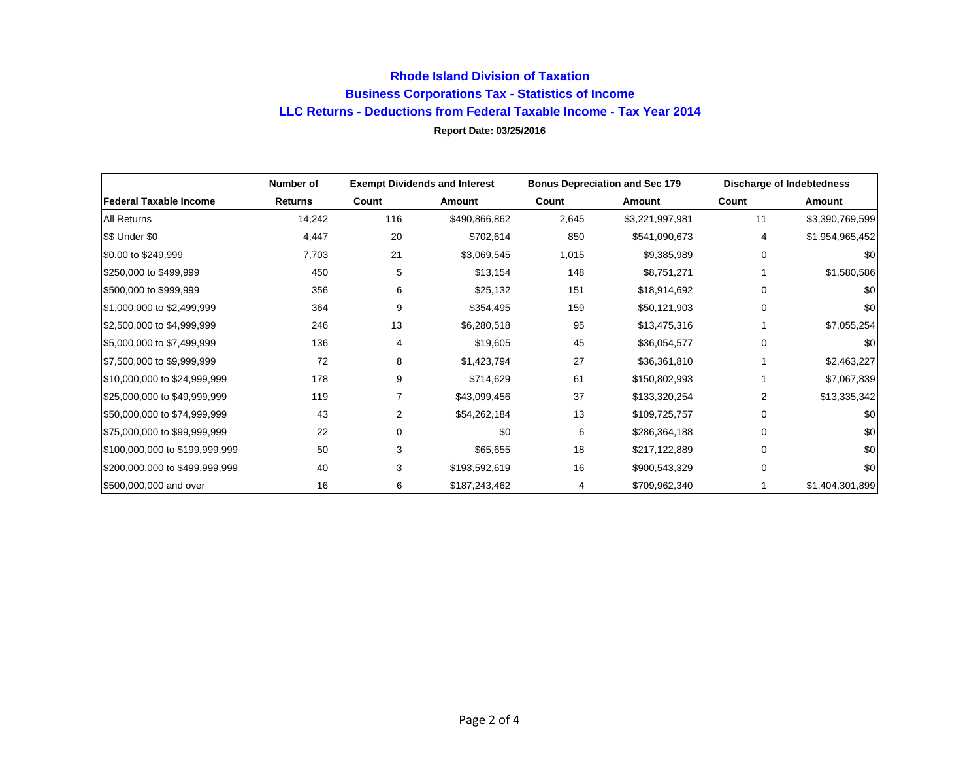## **Rhode Island Division of Taxation Business Corporations Tax - Statistics of Income LLC Returns - Deductions from Federal Taxable Income - Tax Year 2014 Report Date: 03/25/2016**

|                                | Number of      |       | <b>Exempt Dividends and Interest</b> |       | <b>Bonus Depreciation and Sec 179</b> |          | Discharge of Indebtedness |
|--------------------------------|----------------|-------|--------------------------------------|-------|---------------------------------------|----------|---------------------------|
| Federal Taxable Income         | <b>Returns</b> | Count | Amount                               | Count | Amount                                | Count    | Amount                    |
| All Returns                    | 14,242         | 116   | \$490,866,862                        | 2,645 | \$3,221,997,981                       | 11       | \$3,390,769,599           |
| \$\$ Under \$0                 | 4,447          | 20    | \$702,614                            | 850   | \$541,090,673                         | 4        | \$1,954,965,452           |
| \$0.00 to \$249,999            | 7,703          | 21    | \$3,069,545                          | 1,015 | \$9,385,989                           | $\Omega$ | \$0                       |
| \$250,000 to \$499,999         | 450            | 5     | \$13,154                             | 148   | \$8,751,271                           |          | \$1,580,586               |
| \$500,000 to \$999,999         | 356            | 6     | \$25,132                             | 151   | \$18,914,692                          | $\Omega$ | \$0                       |
| \$1,000,000 to \$2,499,999     | 364            | 9     | \$354,495                            | 159   | \$50,121,903                          | $\Omega$ | \$0                       |
| \$2,500,000 to \$4,999,999     | 246            | 13    | \$6,280,518                          | 95    | \$13,475,316                          |          | \$7,055,254               |
| \$5,000,000 to \$7,499,999     | 136            | 4     | \$19,605                             | 45    | \$36,054,577                          | $\Omega$ | \$0                       |
| \$7,500,000 to \$9,999,999     | 72             | 8     | \$1,423,794                          | 27    | \$36,361,810                          |          | \$2,463,227               |
| \$10,000,000 to \$24,999,999   | 178            | 9     | \$714,629                            | 61    | \$150,802,993                         |          | \$7,067,839               |
| \$25,000,000 to \$49,999,999   | 119            |       | \$43,099,456                         | 37    | \$133,320,254                         | 2        | \$13,335,342              |
| \$50,000,000 to \$74,999,999   | 43             | 2     | \$54,262,184                         | 13    | \$109,725,757                         | $\Omega$ | \$0                       |
| \$75,000,000 to \$99,999,999   | 22             | 0     | \$0                                  | 6     | \$286,364,188                         | $\Omega$ | \$0                       |
| \$100,000,000 to \$199,999,999 | 50             | 3     | \$65,655                             | 18    | \$217,122,889                         | $\Omega$ | \$0                       |
| \$200,000,000 to \$499,999,999 | 40             | 3     | \$193,592,619                        | 16    | \$900,543,329                         | $\Omega$ | \$0                       |
| \$500,000,000 and over         | 16             | 6     | \$187,243,462                        | 4     | \$709,962,340                         |          | \$1,404,301,899           |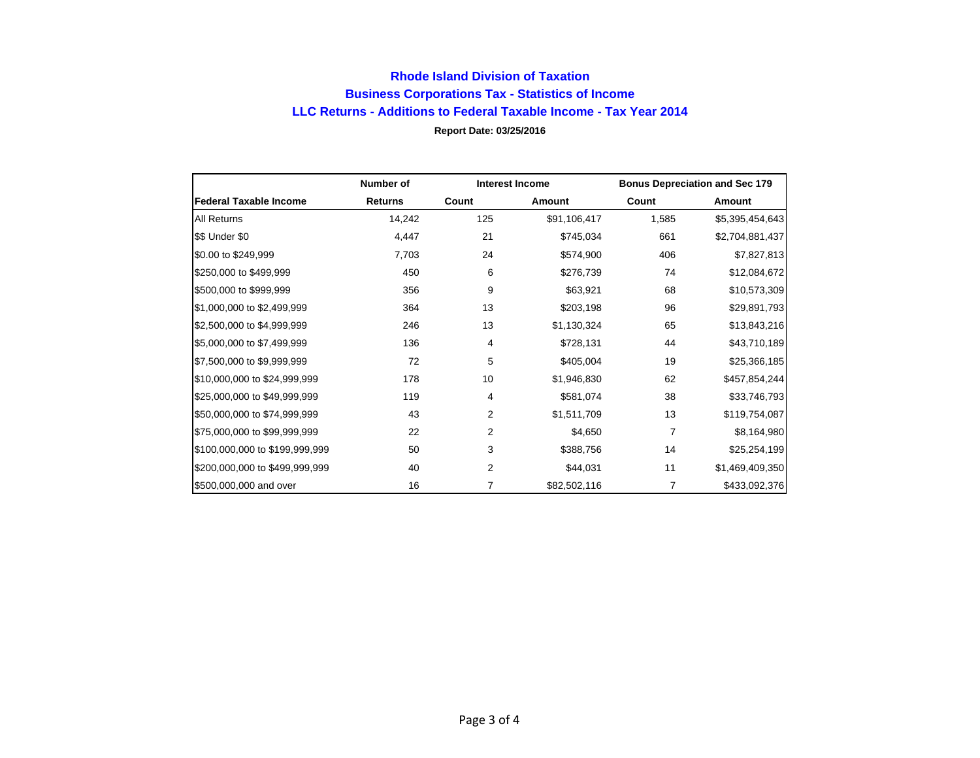## **Rhode Island Division of Taxation Business Corporations Tax - Statistics of Income LLC Returns - Additions to Federal Taxable Income - Tax Year 2014 Report Date: 03/25/2016**

|                                | Number of      | <b>Interest Income</b> |               | <b>Bonus Depreciation and Sec 179</b> |                 |
|--------------------------------|----------------|------------------------|---------------|---------------------------------------|-----------------|
| <b>Federal Taxable Income</b>  | <b>Returns</b> | Count                  | <b>Amount</b> | Count                                 | Amount          |
| <b>All Returns</b>             | 14,242         | 125                    | \$91,106,417  | 1,585                                 | \$5,395,454,643 |
| \$\$ Under \$0                 | 4,447          | 21                     | \$745,034     | 661                                   | \$2,704,881,437 |
| \$0.00 to \$249,999            | 7,703          | 24                     | \$574,900     | 406                                   | \$7,827,813     |
| \$250,000 to \$499,999         | 450            | 6                      | \$276,739     | 74                                    | \$12,084,672    |
| \$500,000 to \$999,999         | 356            | 9                      | \$63,921      | 68                                    | \$10,573,309    |
| \$1,000,000 to \$2,499,999     | 364            | 13                     | \$203,198     | 96                                    | \$29,891,793    |
| \$2,500,000 to \$4,999,999     | 246            | 13                     | \$1,130,324   | 65                                    | \$13,843,216    |
| \$5,000,000 to \$7,499,999     | 136            | 4                      | \$728,131     | 44                                    | \$43,710,189    |
| \$7,500,000 to \$9,999,999     | 72             | 5                      | \$405,004     | 19                                    | \$25,366,185    |
| \$10,000,000 to \$24,999,999   | 178            | 10                     | \$1,946,830   | 62                                    | \$457,854,244   |
| \$25,000,000 to \$49,999,999   | 119            | 4                      | \$581,074     | 38                                    | \$33,746,793    |
| \$50,000,000 to \$74,999,999   | 43             | 2                      | \$1,511,709   | 13                                    | \$119,754,087   |
| \$75,000,000 to \$99,999,999   | 22             | 2                      | \$4,650       | 7                                     | \$8,164,980     |
| \$100,000,000 to \$199,999,999 | 50             | 3                      | \$388,756     | 14                                    | \$25,254,199    |
| \$200,000,000 to \$499,999,999 | 40             | 2                      | \$44,031      | 11                                    | \$1,469,409,350 |
| \$500,000,000 and over         | 16             | 7                      | \$82,502,116  | 7                                     | \$433,092,376   |